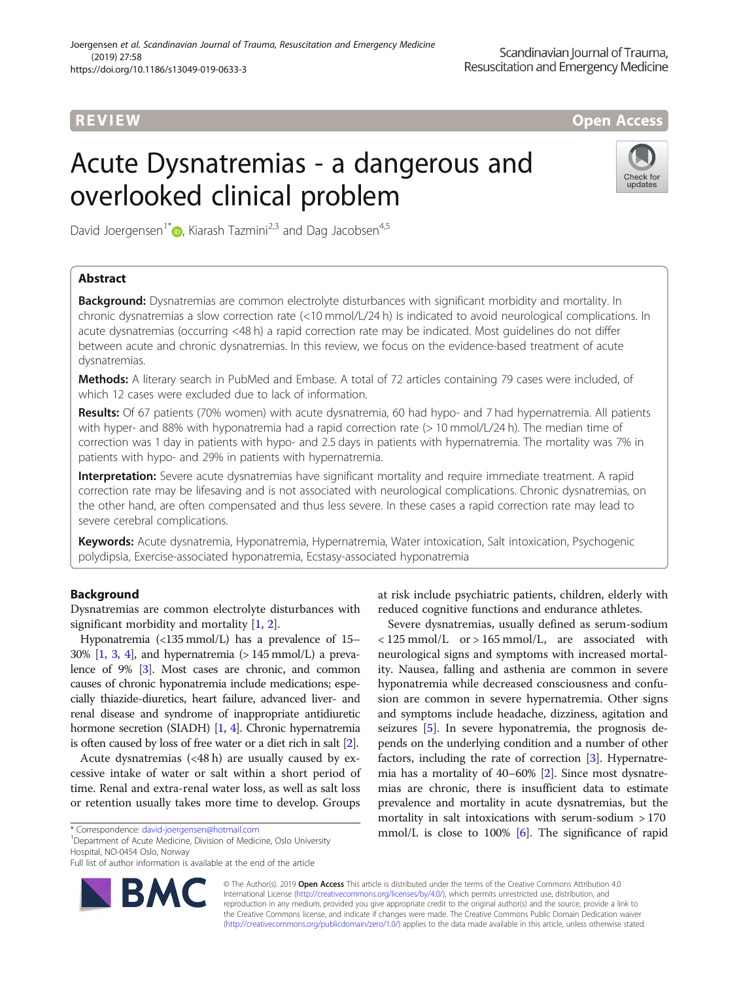## **REVIEW CONSIDERING CONSIDERING CONSIDERING CONSIDERING CONSIDERING CONSIDERING CONSIDERING CONSIDERING CONSIDERING CONSIDERING CONSIDERING CONSIDERING CONSIDERING CONSIDERING CONSIDERING CONSIDERING CONSIDERING CONSIDER**

# Acute Dysnatremias - a dangerous and overlooked clinical problem



David Joergensen<sup>1[\\*](http://orcid.org/0000-0001-7740-7851)</sup>  $\bullet$ , Kiarash Tazmini<sup>2,3</sup> and Dag Jacobsen<sup>4,5</sup>

### Abstract

**Background:** Dysnatremias are common electrolyte disturbances with significant morbidity and mortality. In chronic dysnatremias a slow correction rate (<10 mmol/L/24 h) is indicated to avoid neurological complications. In acute dysnatremias (occurring <48 h) a rapid correction rate may be indicated. Most guidelines do not differ between acute and chronic dysnatremias. In this review, we focus on the evidence-based treatment of acute dysnatremias.

Methods: A literary search in PubMed and Embase. A total of 72 articles containing 79 cases were included, of which 12 cases were excluded due to lack of information.

Results: Of 67 patients (70% women) with acute dysnatremia, 60 had hypo- and 7 had hypernatremia. All patients with hyper- and 88% with hyponatremia had a rapid correction rate (> 10 mmol/L/24 h). The median time of correction was 1 day in patients with hypo- and 2.5 days in patients with hypernatremia. The mortality was 7% in patients with hypo- and 29% in patients with hypernatremia.

Interpretation: Severe acute dysnatremias have significant mortality and require immediate treatment. A rapid correction rate may be lifesaving and is not associated with neurological complications. Chronic dysnatremias, on the other hand, are often compensated and thus less severe. In these cases a rapid correction rate may lead to severe cerebral complications.

Keywords: Acute dysnatremia, Hyponatremia, Hypernatremia, Water intoxication, Salt intoxication, Psychogenic polydipsia, Exercise-associated hyponatremia, Ecstasy-associated hyponatremia

#### Background

Dysnatremias are common electrolyte disturbances with significant morbidity and mortality [[1,](#page-6-0) [2\]](#page-6-0).

Hyponatremia (<135 mmol/L) has a prevalence of 15–  $30\%$  [[1](#page-6-0), [3,](#page-6-0) [4](#page-6-0)], and hypernatremia (> 145 mmol/L) a prevalence of 9% [\[3\]](#page-6-0). Most cases are chronic, and common causes of chronic hyponatremia include medications; especially thiazide-diuretics, heart failure, advanced liver- and renal disease and syndrome of inappropriate antidiuretic hormone secretion (SIADH) [[1](#page-6-0), [4](#page-6-0)]. Chronic hypernatremia is often caused by loss of free water or a diet rich in salt [[2](#page-6-0)].

Acute dysnatremias (<48 h) are usually caused by excessive intake of water or salt within a short period of time. Renal and extra-renal water loss, as well as salt loss or retention usually takes more time to develop. Groups

Department of Acute Medicine, Division of Medicine, Oslo University Hospital, NO-0454 Oslo, Norway

Full list of author information is available at the end of the article



at risk include psychiatric patients, children, elderly with reduced cognitive functions and endurance athletes.

Severe dysnatremias, usually defined as serum-sodium  $<$  125 mmol/L or > 165 mmol/L, are associated with neurological signs and symptoms with increased mortality. Nausea, falling and asthenia are common in severe hyponatremia while decreased consciousness and confusion are common in severe hypernatremia. Other signs and symptoms include headache, dizziness, agitation and seizures [\[5](#page-6-0)]. In severe hyponatremia, the prognosis depends on the underlying condition and a number of other factors, including the rate of correction [[3](#page-6-0)]. Hypernatremia has a mortality of 40–60% [[2\]](#page-6-0). Since most dysnatremias are chronic, there is insufficient data to estimate prevalence and mortality in acute dysnatremias, but the mortality in salt intoxications with serum-sodium > 170 mmol/L is close to 100%  $[6]$ . The significance of rapid

© The Author(s). 2019 Open Access This article is distributed under the terms of the Creative Commons Attribution 4.0 International License [\(http://creativecommons.org/licenses/by/4.0/](http://creativecommons.org/licenses/by/4.0/)), which permits unrestricted use, distribution, and reproduction in any medium, provided you give appropriate credit to the original author(s) and the source, provide a link to the Creative Commons license, and indicate if changes were made. The Creative Commons Public Domain Dedication waiver [\(http://creativecommons.org/publicdomain/zero/1.0/](http://creativecommons.org/publicdomain/zero/1.0/)) applies to the data made available in this article, unless otherwise stated.

<sup>\*</sup> Correspondence: [david-joergensen@hotmail.com](mailto:david-joergensen@hotmail.com) <sup>1</sup>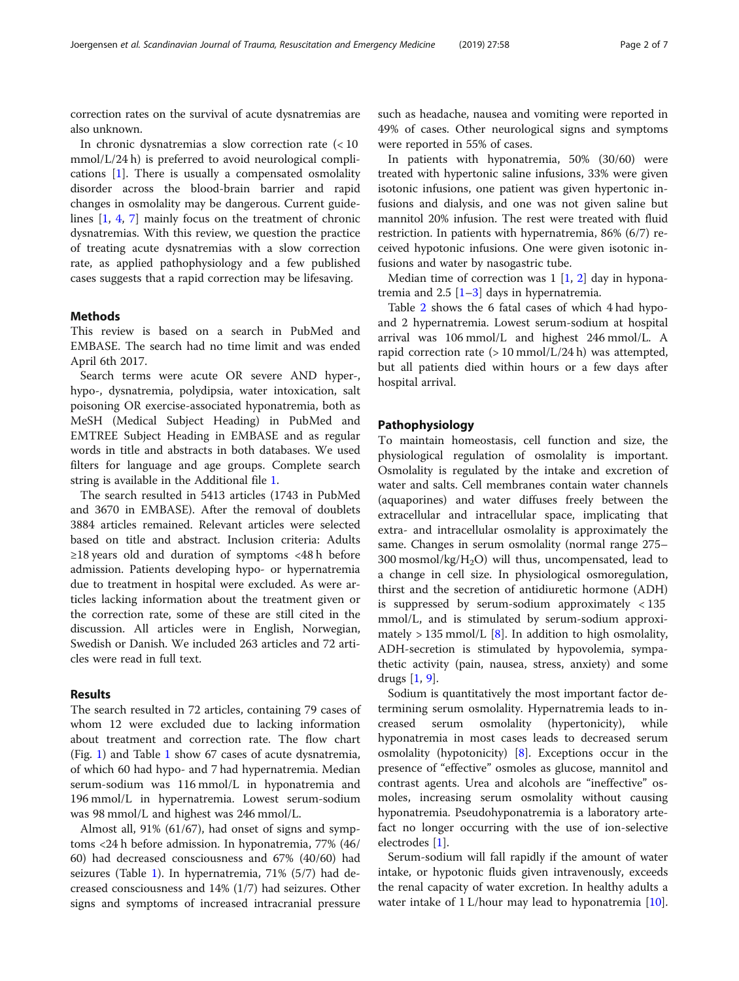correction rates on the survival of acute dysnatremias are also unknown.

In chronic dysnatremias a slow correction rate (< 10 mmol/L/24 h) is preferred to avoid neurological complications [\[1](#page-6-0)]. There is usually a compensated osmolality disorder across the blood-brain barrier and rapid changes in osmolality may be dangerous. Current guidelines [\[1](#page-6-0), [4](#page-6-0), [7](#page-6-0)] mainly focus on the treatment of chronic dysnatremias. With this review, we question the practice of treating acute dysnatremias with a slow correction rate, as applied pathophysiology and a few published cases suggests that a rapid correction may be lifesaving.

#### Methods

This review is based on a search in PubMed and EMBASE. The search had no time limit and was ended April 6th 2017.

Search terms were acute OR severe AND hyper-, hypo-, dysnatremia, polydipsia, water intoxication, salt poisoning OR exercise-associated hyponatremia, both as MeSH (Medical Subject Heading) in PubMed and EMTREE Subject Heading in EMBASE and as regular words in title and abstracts in both databases. We used filters for language and age groups. Complete search string is available in the Additional file [1.](#page-6-0)

The search resulted in 5413 articles (1743 in PubMed and 3670 in EMBASE). After the removal of doublets 3884 articles remained. Relevant articles were selected based on title and abstract. Inclusion criteria: Adults ≥18 years old and duration of symptoms <48 h before admission. Patients developing hypo- or hypernatremia due to treatment in hospital were excluded. As were articles lacking information about the treatment given or the correction rate, some of these are still cited in the discussion. All articles were in English, Norwegian, Swedish or Danish. We included 263 articles and 72 articles were read in full text.

#### Results

The search resulted in 72 articles, containing 79 cases of whom 12 were excluded due to lacking information about treatment and correction rate. The flow chart (Fig. [1\)](#page-2-0) and Table [1](#page-3-0) show 67 cases of acute dysnatremia, of which 60 had hypo- and 7 had hypernatremia. Median serum-sodium was 116 mmol/L in hyponatremia and 196 mmol/L in hypernatremia. Lowest serum-sodium was 98 mmol/L and highest was 246 mmol/L.

Almost all, 91% (61/67), had onset of signs and symptoms <24 h before admission. In hyponatremia, 77% (46/ 60) had decreased consciousness and 67% (40/60) had seizures (Table [1\)](#page-3-0). In hypernatremia, 71% (5/7) had decreased consciousness and 14% (1/7) had seizures. Other signs and symptoms of increased intracranial pressure such as headache, nausea and vomiting were reported in 49% of cases. Other neurological signs and symptoms were reported in 55% of cases.

In patients with hyponatremia, 50% (30/60) were treated with hypertonic saline infusions, 33% were given isotonic infusions, one patient was given hypertonic infusions and dialysis, and one was not given saline but mannitol 20% infusion. The rest were treated with fluid restriction. In patients with hypernatremia, 86% (6/7) received hypotonic infusions. One were given isotonic infusions and water by nasogastric tube.

Median time of correction was  $1 \overline{1, 2}$  $1 \overline{1, 2}$  $1 \overline{1, 2}$  $1 \overline{1, 2}$  $1 \overline{1, 2}$  day in hyponatremia and  $2.5$  [\[1](#page-6-0)–[3\]](#page-6-0) days in hypernatremia.

Table [2](#page-4-0) shows the 6 fatal cases of which 4 had hypoand 2 hypernatremia. Lowest serum-sodium at hospital arrival was 106 mmol/L and highest 246 mmol/L. A rapid correction rate  $(> 10 \text{ mmol/L}/24 \text{ h})$  was attempted, but all patients died within hours or a few days after hospital arrival.

#### Pathophysiology

To maintain homeostasis, cell function and size, the physiological regulation of osmolality is important. Osmolality is regulated by the intake and excretion of water and salts. Cell membranes contain water channels (aquaporines) and water diffuses freely between the extracellular and intracellular space, implicating that extra- and intracellular osmolality is approximately the same. Changes in serum osmolality (normal range 275– 300 mosmol/kg/H2O) will thus, uncompensated, lead to a change in cell size. In physiological osmoregulation, thirst and the secretion of antidiuretic hormone (ADH) is suppressed by serum-sodium approximately < 135 mmol/L, and is stimulated by serum-sodium approxi-mately > 135 mmol/L [[8\]](#page-6-0). In addition to high osmolality, ADH-secretion is stimulated by hypovolemia, sympathetic activity (pain, nausea, stress, anxiety) and some drugs [[1](#page-6-0), [9](#page-6-0)].

Sodium is quantitatively the most important factor determining serum osmolality. Hypernatremia leads to increased serum osmolality (hypertonicity), while hyponatremia in most cases leads to decreased serum osmolality (hypotonicity) [\[8\]](#page-6-0). Exceptions occur in the presence of "effective" osmoles as glucose, mannitol and contrast agents. Urea and alcohols are "ineffective" osmoles, increasing serum osmolality without causing hyponatremia. Pseudohyponatremia is a laboratory artefact no longer occurring with the use of ion-selective electrodes [\[1\]](#page-6-0).

Serum-sodium will fall rapidly if the amount of water intake, or hypotonic fluids given intravenously, exceeds the renal capacity of water excretion. In healthy adults a water intake of 1 L/hour may lead to hyponatremia [\[10](#page-6-0)].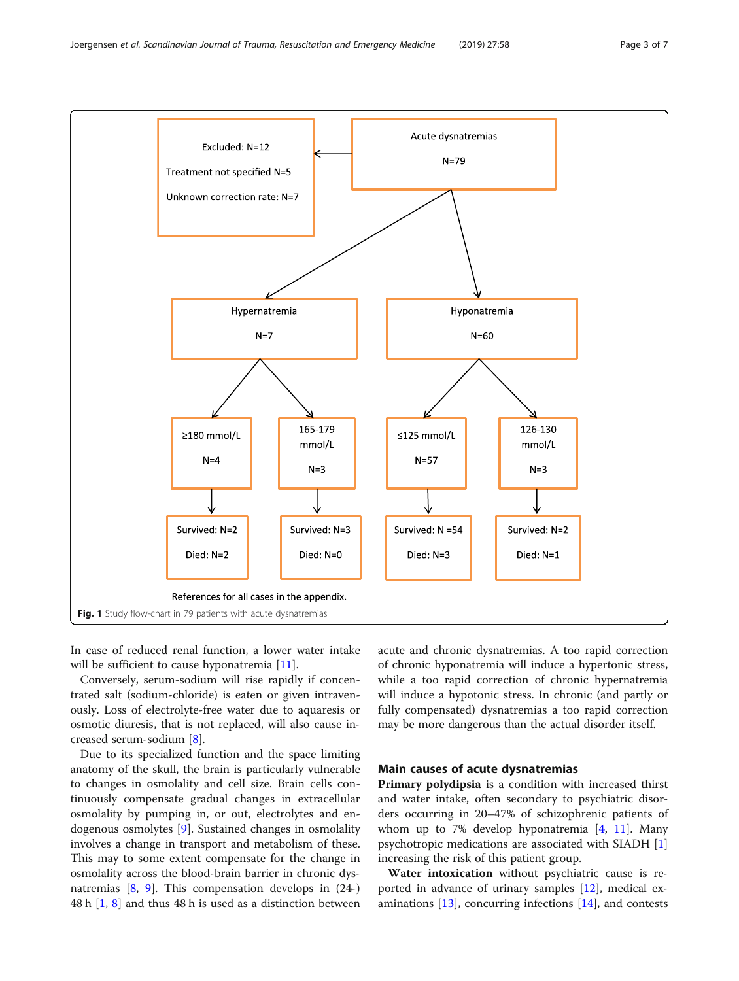<span id="page-2-0"></span>

In case of reduced renal function, a lower water intake will be sufficient to cause hyponatremia [[11\]](#page-6-0).

Conversely, serum-sodium will rise rapidly if concentrated salt (sodium-chloride) is eaten or given intravenously. Loss of electrolyte-free water due to aquaresis or osmotic diuresis, that is not replaced, will also cause increased serum-sodium [\[8](#page-6-0)].

Due to its specialized function and the space limiting anatomy of the skull, the brain is particularly vulnerable to changes in osmolality and cell size. Brain cells continuously compensate gradual changes in extracellular osmolality by pumping in, or out, electrolytes and endogenous osmolytes [[9\]](#page-6-0). Sustained changes in osmolality involves a change in transport and metabolism of these. This may to some extent compensate for the change in osmolality across the blood-brain barrier in chronic dysnatremias  $[8, 9]$  $[8, 9]$  $[8, 9]$  $[8, 9]$ . This compensation develops in  $(24-)$ 48 h [\[1,](#page-6-0) [8](#page-6-0)] and thus 48 h is used as a distinction between

acute and chronic dysnatremias. A too rapid correction of chronic hyponatremia will induce a hypertonic stress, while a too rapid correction of chronic hypernatremia will induce a hypotonic stress. In chronic (and partly or fully compensated) dysnatremias a too rapid correction may be more dangerous than the actual disorder itself.

#### Main causes of acute dysnatremias

Primary polydipsia is a condition with increased thirst and water intake, often secondary to psychiatric disorders occurring in 20–47% of schizophrenic patients of whom up to 7% develop hyponatremia [[4,](#page-6-0) [11\]](#page-6-0). Many psychotropic medications are associated with SIADH [\[1](#page-6-0)] increasing the risk of this patient group.

Water intoxication without psychiatric cause is reported in advance of urinary samples  $[12]$  $[12]$ , medical examinations  $[13]$ , concurring infections  $[14]$  $[14]$  $[14]$ , and contests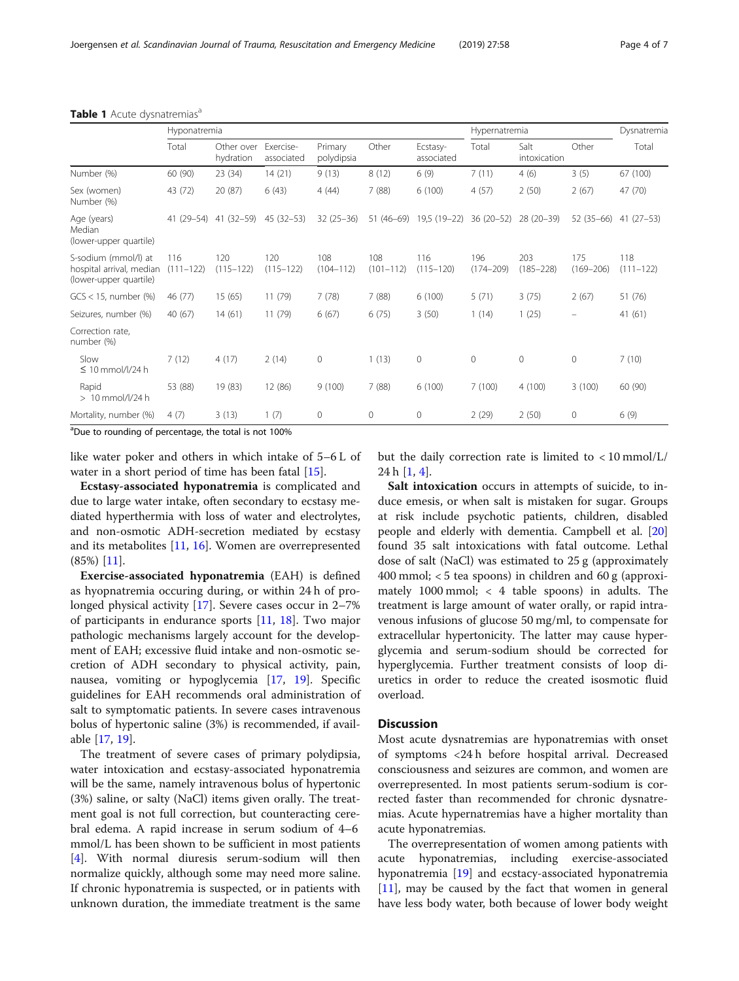#### <span id="page-3-0"></span>Table 1 Acute dysnatremias<sup>a</sup>

|                                                                            | Hyponatremia         |                         |                         |                       |                      | Hypernatremia          |                      |                      | Dysnatremia          |                      |
|----------------------------------------------------------------------------|----------------------|-------------------------|-------------------------|-----------------------|----------------------|------------------------|----------------------|----------------------|----------------------|----------------------|
|                                                                            | Total                | Other over<br>hydration | Exercise-<br>associated | Primary<br>polydipsia | Other                | Ecstasy-<br>associated | Total                | Salt<br>intoxication | Other                | Total                |
| Number (%)                                                                 | 60 (90)              | 23 (34)                 | 14(21)                  | 9(13)                 | 8(12)                | 6(9)                   | 7(11)                | 4(6)                 | 3(5)                 | 67 (100)             |
| Sex (women)<br>Number (%)                                                  | 43 (72)              | 20 (87)                 | 6(43)                   | 4(44)                 | 7(88)                | 6(100)                 | 4(57)                | 2(50)                | 2(67)                | 47 (70)              |
| Age (years)<br>Median<br>(lower-upper quartile)                            | 41 (29–54)           | $41(32 - 59)$           | $45(32 - 53)$           | $32(25-36)$           | $51(46-69)$          | 19,5 (19-22)           | $36(20-52)$          | $28(20-39)$          | $52(35-66)$          | $41(27-53)$          |
| S-sodium (mmol/l) at<br>hospital arrival, median<br>(lower-upper quartile) | 116<br>$(111 - 122)$ | 120<br>$(115 - 122)$    | 120<br>$(115 - 122)$    | 108<br>$(104 - 112)$  | 108<br>$(101 - 112)$ | 116<br>$(115 - 120)$   | 196<br>$(174 - 209)$ | 203<br>$(185 - 228)$ | 175<br>$(169 - 206)$ | 118<br>$(111 - 122)$ |
| $GCS < 15$ , number $(\%)$                                                 | 46 (77)              | 15(65)                  | 11(79)                  | 7(78)                 | 7(88)                | 6(100)                 | 5(71)                | 3(75)                | 2(67)                | 51 (76)              |
| Seizures, number (%)                                                       | 40 (67)              | 14(61)                  | 11 (79)                 | 6(67)                 | 6(75)                | 3(50)                  | 1(14)                | 1(25)                |                      | 41 (61)              |
| Correction rate,<br>number (%)                                             |                      |                         |                         |                       |                      |                        |                      |                      |                      |                      |
| Slow<br>$\leq 10$ mmol/l/24 h                                              | 7(12)                | 4(17)                   | 2(14)                   | $\mathbf{0}$          | 1(13)                | $\mathbf{0}$           | $\mathbf{0}$         | $\mathbf{0}$         | $\mathbf{0}$         | 7(10)                |
| Rapid<br>$>10$ mmol/l/24 h                                                 | 53 (88)              | 19 (83)                 | 12 (86)                 | 9(100)                | 7(88)                | 6(100)                 | 7(100)               | 4(100)               | 3(100)               | 60 (90)              |
| Mortality, number (%)                                                      | 4(7)                 | 3(13)                   | 1(7)                    | $\mathbf 0$           | $\mathbf{0}$         | $\mathbf 0$            | 2(29)                | 2(50)                | 0                    | 6 (9)                |

<sup>a</sup>Due to rounding of percentage, the total is not 100%

like water poker and others in which intake of 5–6 L of water in a short period of time has been fatal [\[15\]](#page-6-0).

Ecstasy-associated hyponatremia is complicated and due to large water intake, often secondary to ecstasy mediated hyperthermia with loss of water and electrolytes, and non-osmotic ADH-secretion mediated by ecstasy and its metabolites [\[11](#page-6-0), [16](#page-6-0)]. Women are overrepresented (85%) [[11\]](#page-6-0).

Exercise-associated hyponatremia (EAH) is defined as hyopnatremia occuring during, or within 24 h of prolonged physical activity [[17](#page-6-0)]. Severe cases occur in 2–7% of participants in endurance sports [[11,](#page-6-0) [18](#page-6-0)]. Two major pathologic mechanisms largely account for the development of EAH; excessive fluid intake and non-osmotic secretion of ADH secondary to physical activity, pain, nausea, vomiting or hypoglycemia [\[17,](#page-6-0) [19\]](#page-6-0). Specific guidelines for EAH recommends oral administration of salt to symptomatic patients. In severe cases intravenous bolus of hypertonic saline (3%) is recommended, if available [\[17](#page-6-0), [19\]](#page-6-0).

The treatment of severe cases of primary polydipsia, water intoxication and ecstasy-associated hyponatremia will be the same, namely intravenous bolus of hypertonic (3%) saline, or salty (NaCl) items given orally. The treatment goal is not full correction, but counteracting cerebral edema. A rapid increase in serum sodium of 4–6 mmol/L has been shown to be sufficient in most patients [[4\]](#page-6-0). With normal diuresis serum-sodium will then normalize quickly, although some may need more saline. If chronic hyponatremia is suspected, or in patients with unknown duration, the immediate treatment is the same

but the daily correction rate is limited to < 10 mmol/L/ 24 h [[1,](#page-6-0) [4\]](#page-6-0).

Salt intoxication occurs in attempts of suicide, to induce emesis, or when salt is mistaken for sugar. Groups at risk include psychotic patients, children, disabled people and elderly with dementia. Campbell et al. [[20](#page-6-0)] found 35 salt intoxications with fatal outcome. Lethal dose of salt (NaCl) was estimated to 25 g (approximately 400 mmol; < 5 tea spoons) in children and 60 g (approximately 1000 mmol; < 4 table spoons) in adults. The treatment is large amount of water orally, or rapid intravenous infusions of glucose 50 mg/ml, to compensate for extracellular hypertonicity. The latter may cause hyperglycemia and serum-sodium should be corrected for hyperglycemia. Further treatment consists of loop diuretics in order to reduce the created isosmotic fluid overload.

#### **Discussion**

Most acute dysnatremias are hyponatremias with onset of symptoms <24 h before hospital arrival. Decreased consciousness and seizures are common, and women are overrepresented. In most patients serum-sodium is corrected faster than recommended for chronic dysnatremias. Acute hypernatremias have a higher mortality than acute hyponatremias.

The overrepresentation of women among patients with acute hyponatremias, including exercise-associated hyponatremia [\[19](#page-6-0)] and ecstacy-associated hyponatremia [[11\]](#page-6-0), may be caused by the fact that women in general have less body water, both because of lower body weight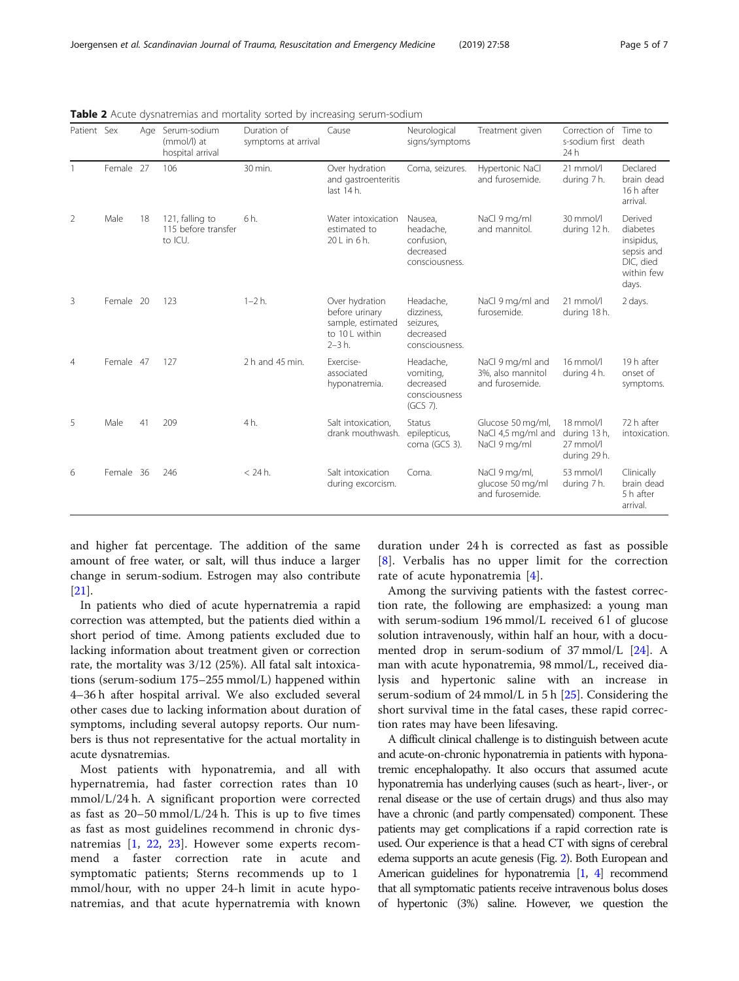| Patient Sex    |           | Age | Serum-sodium<br>(mmol/l) at<br>hospital arrival   | Duration of<br>symptoms at arrival | Cause                                                                                  | Neurological<br>signs/symptoms                                      | Treatment given                                          | Correction of Time to<br>s-sodium first death<br>24h     |                                                                                     |
|----------------|-----------|-----|---------------------------------------------------|------------------------------------|----------------------------------------------------------------------------------------|---------------------------------------------------------------------|----------------------------------------------------------|----------------------------------------------------------|-------------------------------------------------------------------------------------|
|                | Female 27 |     | 106                                               | 30 min.                            | Over hydration<br>and gastroenteritis<br>last 14 h.                                    | Coma, seizures.                                                     | Hypertonic NaCl<br>and furosemide.                       | $21$ mmol/l<br>during 7 h.                               | Declared<br>brain dead<br>16 h after<br>arrival.                                    |
| $\overline{2}$ | Male      | 18  | 121, falling to<br>115 before transfer<br>to ICU. | 6 h.                               | Water intoxication<br>estimated to<br>20 L in 6 h.                                     | Nausea,<br>headache,<br>confusion.<br>decreased<br>consciousness.   | NaCl 9 mg/ml<br>and mannitol.                            | 30 mmol/l<br>during 12 h.                                | Derived<br>diabetes<br>insipidus,<br>sepsis and<br>DIC, died<br>within few<br>days. |
| 3              | Female 20 |     | 123                                               | $1 - 2 h$ .                        | Over hydration<br>before urinary<br>sample, estimated<br>to 10 L within<br>$2 - 3 h$ . | Headache,<br>dizziness.<br>seizures.<br>decreased<br>consciousness. | NaCl 9 mg/ml and<br>furosemide.                          | $21$ mmol/l<br>during 18 h.                              | 2 days.                                                                             |
| 4              | Female 47 |     | 127                                               | 2 h and 45 min.                    | Exercise-<br>associated<br>hyponatremia.                                               | Headache,<br>vomiting,<br>decreased<br>consciousness<br>(GCS 7).    | NaCl 9 mg/ml and<br>3%, also mannitol<br>and furosemide. | 16 mmol/l<br>during 4 h.                                 | 19 h after<br>onset of<br>symptoms.                                                 |
| 5              | Male      | 41  | 209                                               | 4h.                                | Salt intoxication.<br>drank mouthwash.                                                 | Status<br>epilepticus,<br>coma (GCS 3).                             | Glucose 50 mg/ml,<br>NaCl 4,5 mg/ml and<br>NaCl 9 mg/ml  | $18$ mmol/l<br>during 13 h,<br>27 mmol/l<br>during 29 h. | 72 h after<br>intoxication.                                                         |
| 6              | Female 36 |     | 246                                               | $<$ 24 h.                          | Salt intoxication<br>during excorcism.                                                 | Coma.                                                               | NaCl 9 mg/ml,<br>glucose 50 mg/ml<br>and furosemide.     | 53 mmol/l<br>during 7 h.                                 | Clinically<br>brain dead<br>5 h after<br>arrival.                                   |

<span id="page-4-0"></span>Table 2 Acute dysnatremias and mortality sorted by increasing serum-sodium

and higher fat percentage. The addition of the same amount of free water, or salt, will thus induce a larger change in serum-sodium. Estrogen may also contribute [[21\]](#page-6-0).

In patients who died of acute hypernatremia a rapid correction was attempted, but the patients died within a short period of time. Among patients excluded due to lacking information about treatment given or correction rate, the mortality was 3/12 (25%). All fatal salt intoxications (serum-sodium 175–255 mmol/L) happened within 4–36 h after hospital arrival. We also excluded several other cases due to lacking information about duration of symptoms, including several autopsy reports. Our numbers is thus not representative for the actual mortality in acute dysnatremias.

Most patients with hyponatremia, and all with hypernatremia, had faster correction rates than 10 mmol/L/24 h. A significant proportion were corrected as fast as  $20-50$  mmol/L/24 h. This is up to five times as fast as most guidelines recommend in chronic dysnatremias [[1,](#page-6-0) [22](#page-6-0), [23\]](#page-6-0). However some experts recommend a faster correction rate in acute and symptomatic patients; Sterns recommends up to 1 mmol/hour, with no upper 24-h limit in acute hyponatremias, and that acute hypernatremia with known

duration under 24 h is corrected as fast as possible [[8](#page-6-0)]. Verbalis has no upper limit for the correction rate of acute hyponatremia [\[4](#page-6-0)].

Among the surviving patients with the fastest correction rate, the following are emphasized: a young man with serum-sodium 196 mmol/L received 61 of glucose solution intravenously, within half an hour, with a documented drop in serum-sodium of 37 mmol/L [[24\]](#page-6-0). A man with acute hyponatremia, 98 mmol/L, received dialysis and hypertonic saline with an increase in serum-sodium of 24 mmol/L in 5 h [\[25\]](#page-6-0). Considering the short survival time in the fatal cases, these rapid correction rates may have been lifesaving.

A difficult clinical challenge is to distinguish between acute and acute-on-chronic hyponatremia in patients with hyponatremic encephalopathy. It also occurs that assumed acute hyponatremia has underlying causes (such as heart-, liver-, or renal disease or the use of certain drugs) and thus also may have a chronic (and partly compensated) component. These patients may get complications if a rapid correction rate is used. Our experience is that a head CT with signs of cerebral edema supports an acute genesis (Fig. [2](#page-5-0)). Both European and American guidelines for hyponatremia [\[1](#page-6-0), [4\]](#page-6-0) recommend that all symptomatic patients receive intravenous bolus doses of hypertonic (3%) saline. However, we question the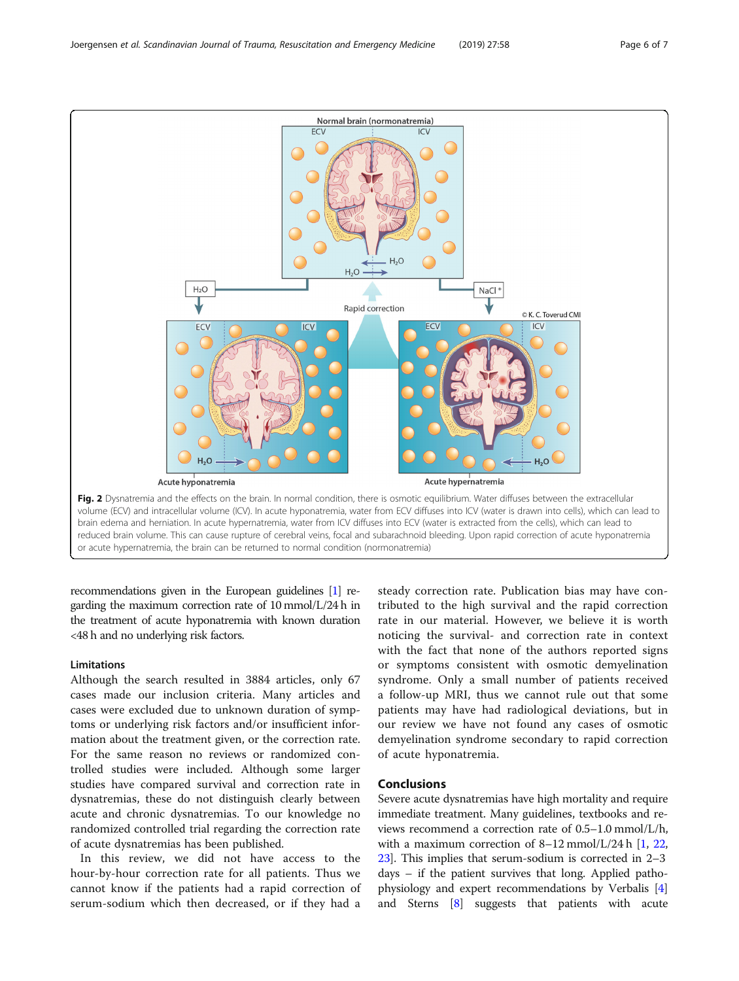recommendations given in the European guidelines [\[1](#page-6-0)] regarding the maximum correction rate of 10 mmol/L/24 h in the treatment of acute hyponatremia with known duration <48 h and no underlying risk factors.

#### Limitations

Although the search resulted in 3884 articles, only 67 cases made our inclusion criteria. Many articles and cases were excluded due to unknown duration of symptoms or underlying risk factors and/or insufficient information about the treatment given, or the correction rate. For the same reason no reviews or randomized controlled studies were included. Although some larger studies have compared survival and correction rate in dysnatremias, these do not distinguish clearly between acute and chronic dysnatremias. To our knowledge no randomized controlled trial regarding the correction rate of acute dysnatremias has been published.

In this review, we did not have access to the hour-by-hour correction rate for all patients. Thus we cannot know if the patients had a rapid correction of serum-sodium which then decreased, or if they had a

steady correction rate. Publication bias may have contributed to the high survival and the rapid correction rate in our material. However, we believe it is worth noticing the survival- and correction rate in context with the fact that none of the authors reported signs or symptoms consistent with osmotic demyelination syndrome. Only a small number of patients received a follow-up MRI, thus we cannot rule out that some patients may have had radiological deviations, but in our review we have not found any cases of osmotic demyelination syndrome secondary to rapid correction of acute hyponatremia.

#### Conclusions

Severe acute dysnatremias have high mortality and require immediate treatment. Many guidelines, textbooks and reviews recommend a correction rate of 0.5–1.0 mmol/L/h, with a maximum correction of  $8-12$  mmol/L/24 h [\[1](#page-6-0), [22](#page-6-0), [23](#page-6-0)]. This implies that serum-sodium is corrected in 2–3 days – if the patient survives that long. Applied pathophysiology and expert recommendations by Verbalis [[4](#page-6-0)] and Sterns [[8\]](#page-6-0) suggests that patients with acute

<span id="page-5-0"></span>